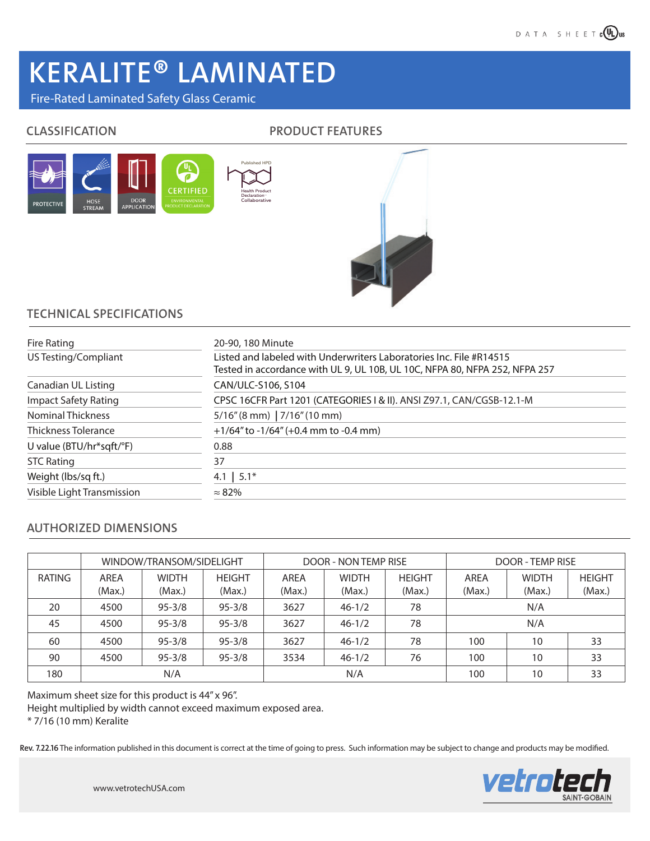# KERALITE<sup>®</sup> LAMINATED

## Fire-Rated Laminated Safety Glass Ceramic

## CLASSIFICATION PRODUCT FEATURES





## TECHNICAL SPECIFICATIONS

| Fire Rating                 | 20-90, 180 Minute                                                           |  |  |  |  |  |
|-----------------------------|-----------------------------------------------------------------------------|--|--|--|--|--|
| US Testing/Compliant        | Listed and labeled with Underwriters Laboratories Inc. File #R14515         |  |  |  |  |  |
|                             | Tested in accordance with UL 9, UL 10B, UL 10C, NFPA 80, NFPA 252, NFPA 257 |  |  |  |  |  |
| Canadian UL Listing         | CAN/ULC-S106, S104                                                          |  |  |  |  |  |
| <b>Impact Safety Rating</b> | CPSC 16CFR Part 1201 (CATEGORIES I & II). ANSI Z97.1, CAN/CGSB-12.1-M       |  |  |  |  |  |
| <b>Nominal Thickness</b>    | $5/16''$ (8 mm)   7/16" (10 mm)                                             |  |  |  |  |  |
| <b>Thickness Tolerance</b>  | $+1/64$ " to $-1/64$ " (+0.4 mm to $-0.4$ mm)                               |  |  |  |  |  |
| U value (BTU/hr*sqft/°F)    | 0.88                                                                        |  |  |  |  |  |
| <b>STC Rating</b>           | 37                                                                          |  |  |  |  |  |
| Weight (lbs/sq ft.)         | 4.1   $5.1*$                                                                |  |  |  |  |  |
| Visible Light Transmission  | $\approx 82\%$                                                              |  |  |  |  |  |

## AUTHORIZED DIMENSIONS

|               | WINDOW/TRANSOM/SIDELIGHT |                        |                         | <b>DOOR - NON TEMP RISE</b> |                        |                         | <b>DOOR - TEMP RISE</b> |                        |                         |
|---------------|--------------------------|------------------------|-------------------------|-----------------------------|------------------------|-------------------------|-------------------------|------------------------|-------------------------|
| <b>RATING</b> | AREA<br>(Max.)           | <b>WIDTH</b><br>(Max.) | <b>HEIGHT</b><br>(Max.) | AREA<br>(Max.)              | <b>WIDTH</b><br>(Max.) | <b>HEIGHT</b><br>(Max.) | AREA<br>(Max.)          | <b>WIDTH</b><br>(Max.) | <b>HEIGHT</b><br>(Max.) |
|               |                          |                        |                         |                             |                        |                         |                         |                        |                         |
| 20            | 4500                     | $95 - 3/8$             | $95 - 3/8$              | 3627                        | $46 - 1/2$             | 78                      | N/A                     |                        |                         |
| 45            | 4500                     | $95 - 3/8$             | $95 - 3/8$              | 3627                        | $46 - 1/2$             | 78                      | N/A                     |                        |                         |
| 60            | 4500                     | $95 - 3/8$             | $95 - 3/8$              | 3627                        | $46 - 1/2$             | 78                      | 100                     | 10                     | 33                      |
| 90            | 4500                     | $95 - 3/8$             | $95 - 3/8$              | 3534                        | $46 - 1/2$             | 76                      | 100                     | 10                     | 33                      |
| 180           | N/A                      |                        |                         | N/A                         |                        |                         | 100                     | 10                     | 33                      |

Maximum sheet size for this product is 44" x 96".

Height multiplied by width cannot exceed maximum exposed area.

\* 7/16 (10 mm) Keralite

Rev. 7.22.16 The information published in this document is correct at the time of going to press. Such information may be subject to change and products may be modified.